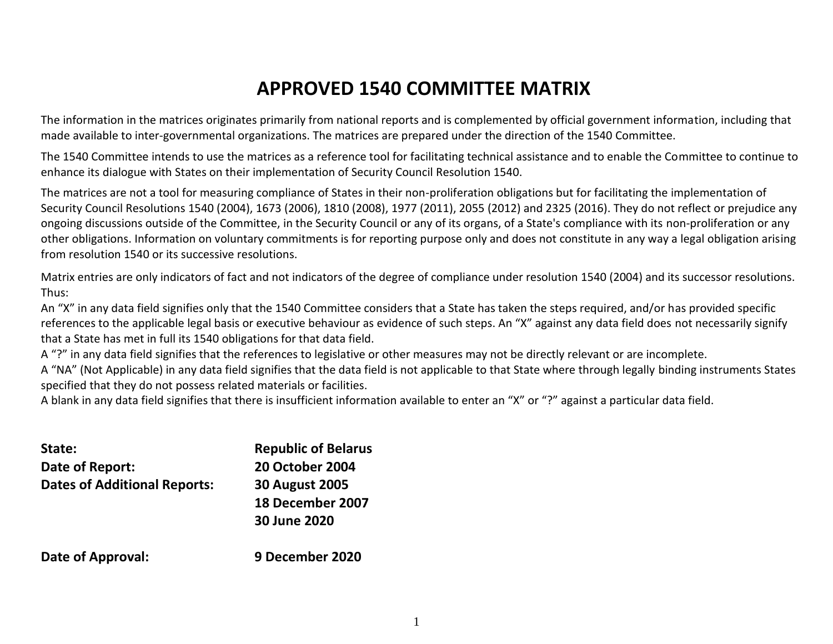# **APPROVED 1540 COMMITTEE MATRIX**

The information in the matrices originates primarily from national reports and is complemented by official government information, including that made available to inter-governmental organizations. The matrices are prepared under the direction of the 1540 Committee.

The 1540 Committee intends to use the matrices as a reference tool for facilitating technical assistance and to enable the Committee to continue to enhance its dialogue with States on their implementation of Security Council Resolution 1540.

The matrices are not a tool for measuring compliance of States in their non-proliferation obligations but for facilitating the implementation of Security Council Resolutions 1540 (2004), 1673 (2006), 1810 (2008), 1977 (2011), 2055 (2012) and 2325 (2016). They do not reflect or prejudice any ongoing discussions outside of the Committee, in the Security Council or any of its organs, of a State's compliance with its non-proliferation or any other obligations. Information on voluntary commitments is for reporting purpose only and does not constitute in any way a legal obligation arising from resolution 1540 or its successive resolutions.

Matrix entries are only indicators of fact and not indicators of the degree of compliance under resolution 1540 (2004) and its successor resolutions. Thus:

An "X" in any data field signifies only that the 1540 Committee considers that a State has taken the steps required, and/or has provided specific references to the applicable legal basis or executive behaviour as evidence of such steps. An "X" against any data field does not necessarily signify that a State has met in full its 1540 obligations for that data field.

A "?" in any data field signifies that the references to legislative or other measures may not be directly relevant or are incomplete.

A "NA" (Not Applicable) in any data field signifies that the data field is not applicable to that State where through legally binding instruments States specified that they do not possess related materials or facilities.

A blank in any data field signifies that there is insufficient information available to enter an "X" or "?" against a particular data field.

| State:                              | <b>Republic of Belarus</b> |
|-------------------------------------|----------------------------|
| Date of Report:                     | <b>20 October 2004</b>     |
| <b>Dates of Additional Reports:</b> | <b>30 August 2005</b>      |
|                                     | 18 December 2007           |
|                                     | 30 June 2020               |
|                                     |                            |

**Date of Approval: 9 December 2020**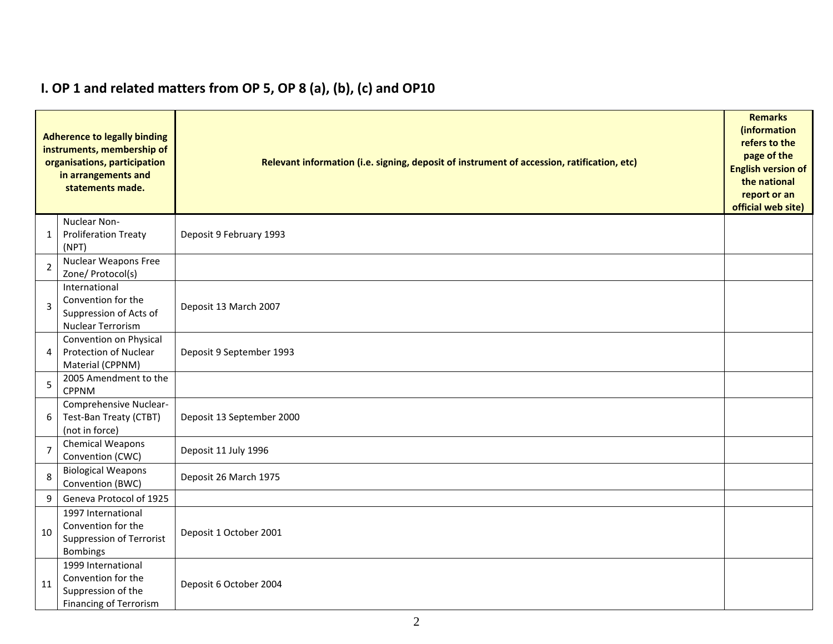|                | <b>Adherence to legally binding</b><br>instruments, membership of<br>organisations, participation<br>in arrangements and<br>statements made. | Relevant information (i.e. signing, deposit of instrument of accession, ratification, etc) |  |  |  |  |  |  |  |  |
|----------------|----------------------------------------------------------------------------------------------------------------------------------------------|--------------------------------------------------------------------------------------------|--|--|--|--|--|--|--|--|
| 1              | Nuclear Non-<br><b>Proliferation Treaty</b><br>(NPT)                                                                                         | Deposit 9 February 1993                                                                    |  |  |  |  |  |  |  |  |
| $\overline{2}$ | Nuclear Weapons Free<br>Zone/ Protocol(s)                                                                                                    |                                                                                            |  |  |  |  |  |  |  |  |
| 3              | International<br>Convention for the<br>Suppression of Acts of<br><b>Nuclear Terrorism</b>                                                    | Deposit 13 March 2007                                                                      |  |  |  |  |  |  |  |  |
| 4              | Convention on Physical<br>Protection of Nuclear<br>Material (CPPNM)                                                                          | Deposit 9 September 1993                                                                   |  |  |  |  |  |  |  |  |
| 5              | 2005 Amendment to the<br><b>CPPNM</b>                                                                                                        |                                                                                            |  |  |  |  |  |  |  |  |
| 6              | Comprehensive Nuclear-<br>Test-Ban Treaty (CTBT)<br>(not in force)                                                                           | Deposit 13 September 2000                                                                  |  |  |  |  |  |  |  |  |
| $\overline{7}$ | Chemical Weapons<br>Convention (CWC)                                                                                                         | Deposit 11 July 1996                                                                       |  |  |  |  |  |  |  |  |
| 8              | <b>Biological Weapons</b><br>Convention (BWC)                                                                                                | Deposit 26 March 1975                                                                      |  |  |  |  |  |  |  |  |
| 9              | Geneva Protocol of 1925                                                                                                                      |                                                                                            |  |  |  |  |  |  |  |  |
| 10             | 1997 International<br>Convention for the<br>Suppression of Terrorist<br><b>Bombings</b>                                                      | Deposit 1 October 2001                                                                     |  |  |  |  |  |  |  |  |
| 11             | 1999 International<br>Convention for the<br>Suppression of the<br>Financing of Terrorism                                                     | Deposit 6 October 2004                                                                     |  |  |  |  |  |  |  |  |

## **I. OP 1 and related matters from OP 5, OP 8 (a), (b), (c) and OP10**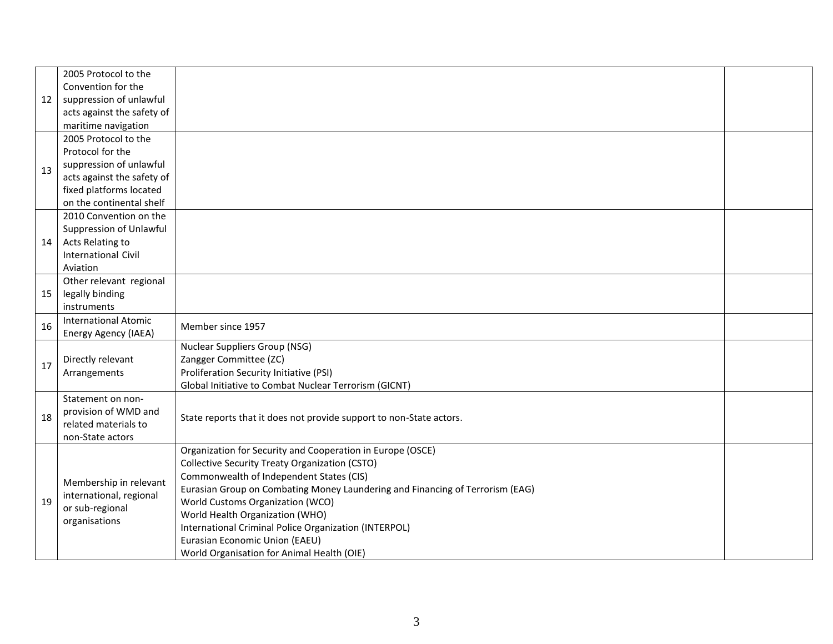|    | 2005 Protocol to the        |                                                                                                                   |  |  |  |  |  |  |
|----|-----------------------------|-------------------------------------------------------------------------------------------------------------------|--|--|--|--|--|--|
|    | Convention for the          |                                                                                                                   |  |  |  |  |  |  |
| 12 | suppression of unlawful     |                                                                                                                   |  |  |  |  |  |  |
|    | acts against the safety of  |                                                                                                                   |  |  |  |  |  |  |
|    | maritime navigation         |                                                                                                                   |  |  |  |  |  |  |
|    | 2005 Protocol to the        |                                                                                                                   |  |  |  |  |  |  |
|    | Protocol for the            |                                                                                                                   |  |  |  |  |  |  |
| 13 | suppression of unlawful     |                                                                                                                   |  |  |  |  |  |  |
|    | acts against the safety of  |                                                                                                                   |  |  |  |  |  |  |
|    | fixed platforms located     |                                                                                                                   |  |  |  |  |  |  |
|    | on the continental shelf    |                                                                                                                   |  |  |  |  |  |  |
|    | 2010 Convention on the      |                                                                                                                   |  |  |  |  |  |  |
|    | Suppression of Unlawful     |                                                                                                                   |  |  |  |  |  |  |
| 14 | Acts Relating to            |                                                                                                                   |  |  |  |  |  |  |
|    | <b>International Civil</b>  |                                                                                                                   |  |  |  |  |  |  |
|    | Aviation                    |                                                                                                                   |  |  |  |  |  |  |
|    | Other relevant regional     |                                                                                                                   |  |  |  |  |  |  |
| 15 | legally binding             |                                                                                                                   |  |  |  |  |  |  |
|    | instruments                 |                                                                                                                   |  |  |  |  |  |  |
| 16 | <b>International Atomic</b> | Member since 1957                                                                                                 |  |  |  |  |  |  |
|    | Energy Agency (IAEA)        |                                                                                                                   |  |  |  |  |  |  |
|    |                             | <b>Nuclear Suppliers Group (NSG)</b>                                                                              |  |  |  |  |  |  |
| 17 | Directly relevant           | Zangger Committee (ZC)                                                                                            |  |  |  |  |  |  |
|    | Arrangements                | Proliferation Security Initiative (PSI)                                                                           |  |  |  |  |  |  |
|    |                             | Global Initiative to Combat Nuclear Terrorism (GICNT)                                                             |  |  |  |  |  |  |
|    | Statement on non-           |                                                                                                                   |  |  |  |  |  |  |
| 18 | provision of WMD and        | State reports that it does not provide support to non-State actors.                                               |  |  |  |  |  |  |
|    | related materials to        |                                                                                                                   |  |  |  |  |  |  |
|    | non-State actors            |                                                                                                                   |  |  |  |  |  |  |
|    |                             | Organization for Security and Cooperation in Europe (OSCE)                                                        |  |  |  |  |  |  |
|    |                             | Collective Security Treaty Organization (CSTO)<br>Commonwealth of Independent States (CIS)                        |  |  |  |  |  |  |
|    | Membership in relevant      |                                                                                                                   |  |  |  |  |  |  |
|    | international, regional     | Eurasian Group on Combating Money Laundering and Financing of Terrorism (EAG)<br>World Customs Organization (WCO) |  |  |  |  |  |  |
| 19 | or sub-regional             |                                                                                                                   |  |  |  |  |  |  |
|    | organisations               | World Health Organization (WHO)<br>International Criminal Police Organization (INTERPOL)                          |  |  |  |  |  |  |
|    |                             | Eurasian Economic Union (EAEU)                                                                                    |  |  |  |  |  |  |
|    |                             |                                                                                                                   |  |  |  |  |  |  |
|    |                             | World Organisation for Animal Health (OIE)                                                                        |  |  |  |  |  |  |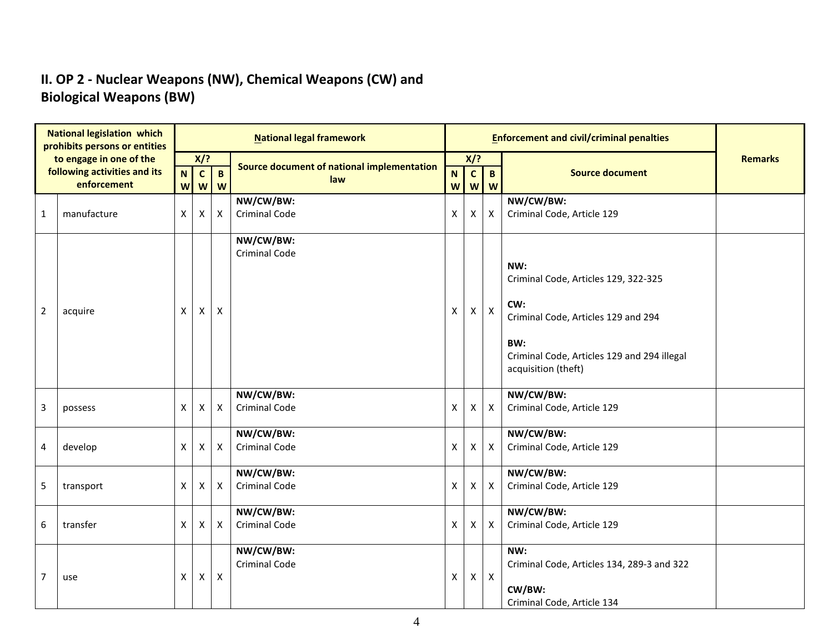### **II. OP 2 - Nuclear Weapons (NW), Chemical Weapons (CW) and Biological Weapons (BW)**

|              | <b>National legislation which</b><br>prohibits persons or entities |                   |                                           |                           | <b>National legal framework</b>            |                                          |                   | <b>Enforcement and civil/criminal penalties</b> |                                                                                                                                                                        |                |
|--------------|--------------------------------------------------------------------|-------------------|-------------------------------------------|---------------------------|--------------------------------------------|------------------------------------------|-------------------|-------------------------------------------------|------------------------------------------------------------------------------------------------------------------------------------------------------------------------|----------------|
|              | to engage in one of the                                            |                   | $X$ ?                                     |                           | Source document of national implementation |                                          | X/?               |                                                 |                                                                                                                                                                        | <b>Remarks</b> |
|              | following activities and its<br>enforcement                        | N<br>$\mathbf{W}$ | $\mathbf{C}$<br>$\boldsymbol{\mathsf{W}}$ | $\mathbf B$<br>W          | law                                        | $\mathbf N$<br>$\boldsymbol{\mathsf{W}}$ | $\mathbf{c}$<br>W | $\mathbf{B}$<br>W                               | <b>Source document</b>                                                                                                                                                 |                |
| $\mathbf{1}$ | manufacture                                                        | X                 | X                                         | Χ                         | NW/CW/BW:<br><b>Criminal Code</b>          | $\pmb{\mathsf{X}}$                       | X                 | $\boldsymbol{\mathsf{x}}$                       | NW/CW/BW:<br>Criminal Code, Article 129                                                                                                                                |                |
| $\mathbf 2$  | acquire                                                            | X                 | X                                         | X                         | NW/CW/BW:<br><b>Criminal Code</b>          | X                                        | X                 | $\mathsf X$                                     | NW:<br>Criminal Code, Articles 129, 322-325<br>CW:<br>Criminal Code, Articles 129 and 294<br>BW:<br>Criminal Code, Articles 129 and 294 illegal<br>acquisition (theft) |                |
| 3            | possess                                                            | X                 | X                                         | X                         | NW/CW/BW:<br><b>Criminal Code</b>          | X                                        | X                 | $\mathsf{X}$                                    | NW/CW/BW:<br>Criminal Code, Article 129                                                                                                                                |                |
| 4            | develop                                                            | X                 | X                                         | X                         | NW/CW/BW:<br><b>Criminal Code</b>          | X                                        | Χ                 | $\mathsf{X}$                                    | NW/CW/BW:<br>Criminal Code, Article 129                                                                                                                                |                |
| 5            | transport                                                          | X                 | X                                         | X                         | NW/CW/BW:<br><b>Criminal Code</b>          | $\mathsf{x}$                             | X                 | $\mathsf{X}$                                    | NW/CW/BW:<br>Criminal Code, Article 129                                                                                                                                |                |
| 6            | transfer                                                           | X                 | X                                         | Χ                         | NW/CW/BW:<br><b>Criminal Code</b>          | X                                        | Χ                 | $\mathsf{X}$                                    | NW/CW/BW:<br>Criminal Code, Article 129                                                                                                                                |                |
| 7            | use                                                                | X                 | X                                         | $\boldsymbol{\mathsf{X}}$ | NW/CW/BW:<br>Criminal Code                 | $\pmb{\mathsf{X}}$                       | X                 | $\mathsf X$                                     | NW:<br>Criminal Code, Articles 134, 289-3 and 322<br>CW/BW:<br>Criminal Code, Article 134                                                                              |                |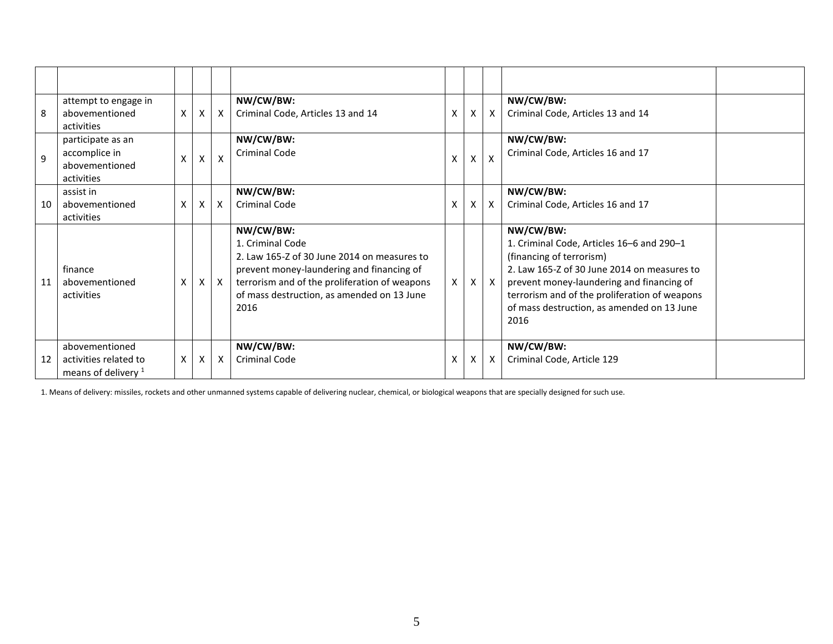| 8  | attempt to engage in<br>abovementioned<br>activities                      | X | X  | $\times$ | NW/CW/BW:<br>Criminal Code, Articles 13 and 14                                                                                                                                                                                   | X | X | $\mathsf{X}$              | NW/CW/BW:<br>Criminal Code, Articles 13 and 14                                                                                                                                                                                                                                        |  |
|----|---------------------------------------------------------------------------|---|----|----------|----------------------------------------------------------------------------------------------------------------------------------------------------------------------------------------------------------------------------------|---|---|---------------------------|---------------------------------------------------------------------------------------------------------------------------------------------------------------------------------------------------------------------------------------------------------------------------------------|--|
| 9  | participate as an<br>accomplice in<br>abovementioned<br>activities        | x | X. | X        | NW/CW/BW:<br><b>Criminal Code</b>                                                                                                                                                                                                |   | X | $\mathsf{x}$              | NW/CW/BW:<br>Criminal Code, Articles 16 and 17                                                                                                                                                                                                                                        |  |
| 10 | assist in<br>abovementioned<br>activities                                 | X | X  | $\times$ | NW/CW/BW:<br><b>Criminal Code</b>                                                                                                                                                                                                | X | X | X                         | NW/CW/BW:<br>Criminal Code, Articles 16 and 17                                                                                                                                                                                                                                        |  |
| 11 | finance<br>abovementioned<br>activities                                   | X | X  | X        | NW/CW/BW:<br>1. Criminal Code<br>2. Law 165-Z of 30 June 2014 on measures to<br>prevent money-laundering and financing of<br>terrorism and of the proliferation of weapons<br>of mass destruction, as amended on 13 June<br>2016 | X | X | $\mathsf{x}$              | NW/CW/BW:<br>1. Criminal Code, Articles 16-6 and 290-1<br>(financing of terrorism)<br>2. Law 165-Z of 30 June 2014 on measures to<br>prevent money-laundering and financing of<br>terrorism and of the proliferation of weapons<br>of mass destruction, as amended on 13 June<br>2016 |  |
| 12 | abovementioned<br>activities related to<br>means of delivery <sup>1</sup> | Χ | X  | X        | NW/CW/BW:<br><b>Criminal Code</b>                                                                                                                                                                                                | X | X | $\boldsymbol{\mathsf{X}}$ | NW/CW/BW:<br>Criminal Code, Article 129                                                                                                                                                                                                                                               |  |

1. Means of delivery: missiles, rockets and other unmanned systems capable of delivering nuclear, chemical, or biological weapons that are specially designed for such use.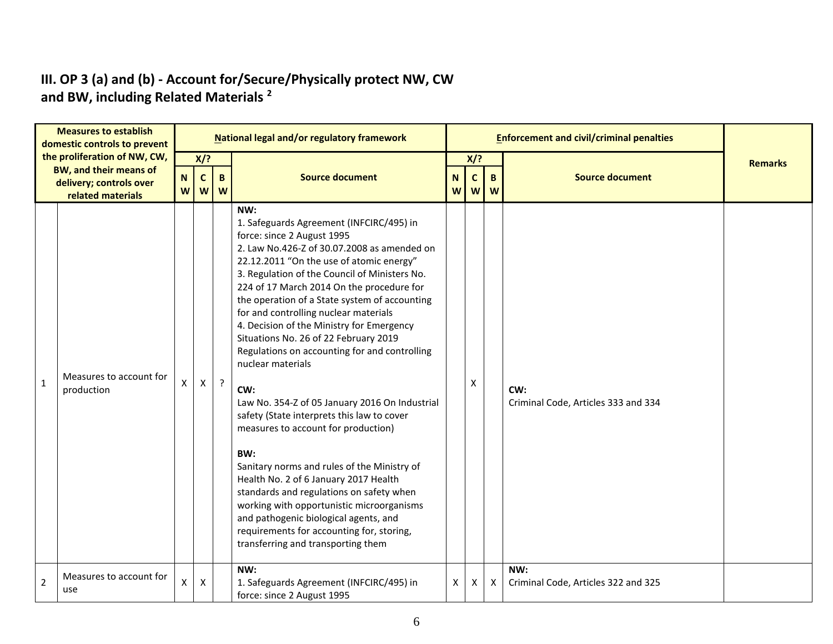#### **III. OP 3 (a) and (b) - Account for/Secure/Physically protect NW, CW and BW, including Related Materials <sup>2</sup>**

| <b>Measures to establish</b><br>domestic controls to prevent |                                                        |                  |                    |            | National legal and/or regulatory framework                                                                                                                                                                                                                                                                                                                                                                                                                                                                                                                                                                                                                                                                                                                                                                                                                                                                                                                                                     |        |                  |                  | <b>Enforcement and civil/criminal penalties</b> |                |
|--------------------------------------------------------------|--------------------------------------------------------|------------------|--------------------|------------|------------------------------------------------------------------------------------------------------------------------------------------------------------------------------------------------------------------------------------------------------------------------------------------------------------------------------------------------------------------------------------------------------------------------------------------------------------------------------------------------------------------------------------------------------------------------------------------------------------------------------------------------------------------------------------------------------------------------------------------------------------------------------------------------------------------------------------------------------------------------------------------------------------------------------------------------------------------------------------------------|--------|------------------|------------------|-------------------------------------------------|----------------|
|                                                              | the proliferation of NW, CW,<br>BW, and their means of |                  | X/?                |            |                                                                                                                                                                                                                                                                                                                                                                                                                                                                                                                                                                                                                                                                                                                                                                                                                                                                                                                                                                                                |        | $X$ ?            |                  |                                                 | <b>Remarks</b> |
|                                                              | delivery; controls over<br>related materials           | $\mathbf N$<br>W | $\mathbf c$<br>W   | B<br>W     | <b>Source document</b>                                                                                                                                                                                                                                                                                                                                                                                                                                                                                                                                                                                                                                                                                                                                                                                                                                                                                                                                                                         | N<br>W | $\mathbf c$<br>W | $\mathbf B$<br>W | <b>Source document</b>                          |                |
| $\mathbf{1}$                                                 | Measures to account for<br>production                  | Χ                | $\pmb{\mathsf{X}}$ | $\ddot{?}$ | NW:<br>1. Safeguards Agreement (INFCIRC/495) in<br>force: since 2 August 1995<br>2. Law No.426-Z of 30.07.2008 as amended on<br>22.12.2011 "On the use of atomic energy"<br>3. Regulation of the Council of Ministers No.<br>224 of 17 March 2014 On the procedure for<br>the operation of a State system of accounting<br>for and controlling nuclear materials<br>4. Decision of the Ministry for Emergency<br>Situations No. 26 of 22 February 2019<br>Regulations on accounting for and controlling<br>nuclear materials<br>CW:<br>Law No. 354-Z of 05 January 2016 On Industrial<br>safety (State interprets this law to cover<br>measures to account for production)<br>BW:<br>Sanitary norms and rules of the Ministry of<br>Health No. 2 of 6 January 2017 Health<br>standards and regulations on safety when<br>working with opportunistic microorganisms<br>and pathogenic biological agents, and<br>requirements for accounting for, storing,<br>transferring and transporting them |        | X                |                  | CW:<br>Criminal Code, Articles 333 and 334      |                |
| $\overline{2}$                                               | Measures to account for<br>use                         | Χ                | X                  |            | NW:<br>1. Safeguards Agreement (INFCIRC/495) in<br>force: since 2 August 1995                                                                                                                                                                                                                                                                                                                                                                                                                                                                                                                                                                                                                                                                                                                                                                                                                                                                                                                  | X.     | X                | X                | NW:<br>Criminal Code, Articles 322 and 325      |                |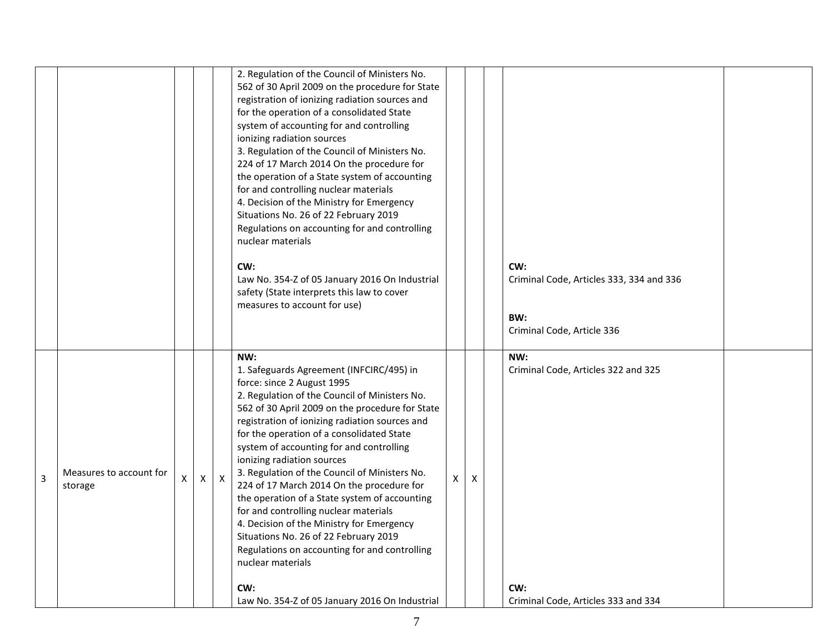|                |                                    |   |   |              | 2. Regulation of the Council of Ministers No.<br>562 of 30 April 2009 on the procedure for State<br>registration of ionizing radiation sources and<br>for the operation of a consolidated State<br>system of accounting for and controlling<br>ionizing radiation sources<br>3. Regulation of the Council of Ministers No.<br>224 of 17 March 2014 On the procedure for<br>the operation of a State system of accounting<br>for and controlling nuclear materials<br>4. Decision of the Ministry for Emergency<br>Situations No. 26 of 22 February 2019<br>Regulations on accounting for and controlling<br>nuclear materials<br>CW:<br>Law No. 354-Z of 05 January 2016 On Industrial<br>safety (State interprets this law to cover<br>measures to account for use)    |   |   | CW:<br>Criminal Code, Articles 333, 334 and 336<br>BW:<br>Criminal Code, Article 336     |  |
|----------------|------------------------------------|---|---|--------------|-------------------------------------------------------------------------------------------------------------------------------------------------------------------------------------------------------------------------------------------------------------------------------------------------------------------------------------------------------------------------------------------------------------------------------------------------------------------------------------------------------------------------------------------------------------------------------------------------------------------------------------------------------------------------------------------------------------------------------------------------------------------------|---|---|------------------------------------------------------------------------------------------|--|
| $\overline{3}$ | Measures to account for<br>storage | X | X | $\mathsf{X}$ | NW:<br>1. Safeguards Agreement (INFCIRC/495) in<br>force: since 2 August 1995<br>2. Regulation of the Council of Ministers No.<br>562 of 30 April 2009 on the procedure for State<br>registration of ionizing radiation sources and<br>for the operation of a consolidated State<br>system of accounting for and controlling<br>ionizing radiation sources<br>3. Regulation of the Council of Ministers No.<br>224 of 17 March 2014 On the procedure for<br>the operation of a State system of accounting<br>for and controlling nuclear materials<br>4. Decision of the Ministry for Emergency<br>Situations No. 26 of 22 February 2019<br>Regulations on accounting for and controlling<br>nuclear materials<br>CW:<br>Law No. 354-Z of 05 January 2016 On Industrial | X | X | NW:<br>Criminal Code, Articles 322 and 325<br>CW:<br>Criminal Code, Articles 333 and 334 |  |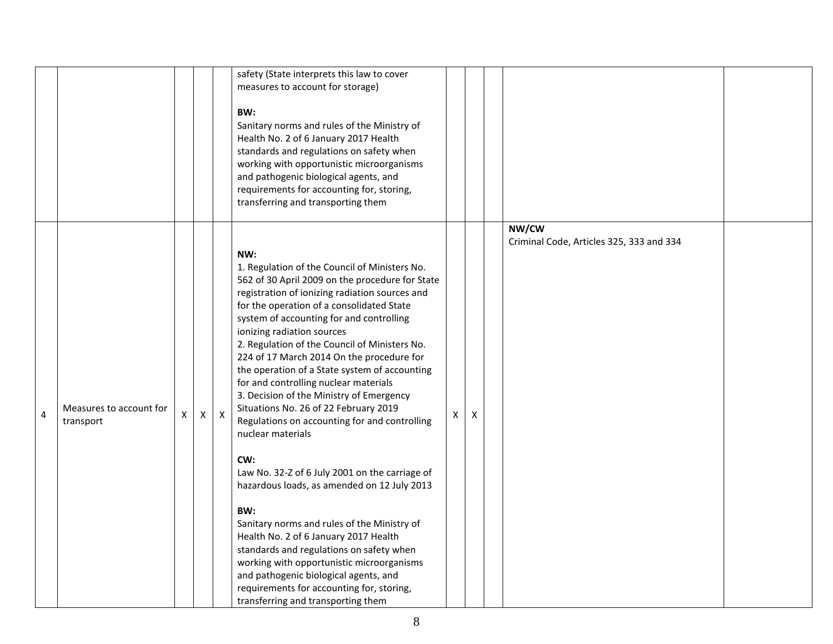|   |                                      |   |              |              | safety (State interprets this law to cover<br>measures to account for storage)<br>BW:<br>Sanitary norms and rules of the Ministry of<br>Health No. 2 of 6 January 2017 Health<br>standards and regulations on safety when<br>working with opportunistic microorganisms<br>and pathogenic biological agents, and<br>requirements for accounting for, storing,<br>transferring and transporting them                                                                                                                                                                                                                                                                                                                                                                                                                                                                                                                                                                                                                                                              |    |   |                                                   |  |
|---|--------------------------------------|---|--------------|--------------|-----------------------------------------------------------------------------------------------------------------------------------------------------------------------------------------------------------------------------------------------------------------------------------------------------------------------------------------------------------------------------------------------------------------------------------------------------------------------------------------------------------------------------------------------------------------------------------------------------------------------------------------------------------------------------------------------------------------------------------------------------------------------------------------------------------------------------------------------------------------------------------------------------------------------------------------------------------------------------------------------------------------------------------------------------------------|----|---|---------------------------------------------------|--|
| 4 | Measures to account for<br>transport | X | $\mathsf{X}$ | $\mathsf{X}$ | NW:<br>1. Regulation of the Council of Ministers No.<br>562 of 30 April 2009 on the procedure for State<br>registration of ionizing radiation sources and<br>for the operation of a consolidated State<br>system of accounting for and controlling<br>ionizing radiation sources<br>2. Regulation of the Council of Ministers No.<br>224 of 17 March 2014 On the procedure for<br>the operation of a State system of accounting<br>for and controlling nuclear materials<br>3. Decision of the Ministry of Emergency<br>Situations No. 26 of 22 February 2019<br>Regulations on accounting for and controlling<br>nuclear materials<br>CW:<br>Law No. 32-Z of 6 July 2001 on the carriage of<br>hazardous loads, as amended on 12 July 2013<br>BW:<br>Sanitary norms and rules of the Ministry of<br>Health No. 2 of 6 January 2017 Health<br>standards and regulations on safety when<br>working with opportunistic microorganisms<br>and pathogenic biological agents, and<br>requirements for accounting for, storing,<br>transferring and transporting them | X. | X | NW/CW<br>Criminal Code, Articles 325, 333 and 334 |  |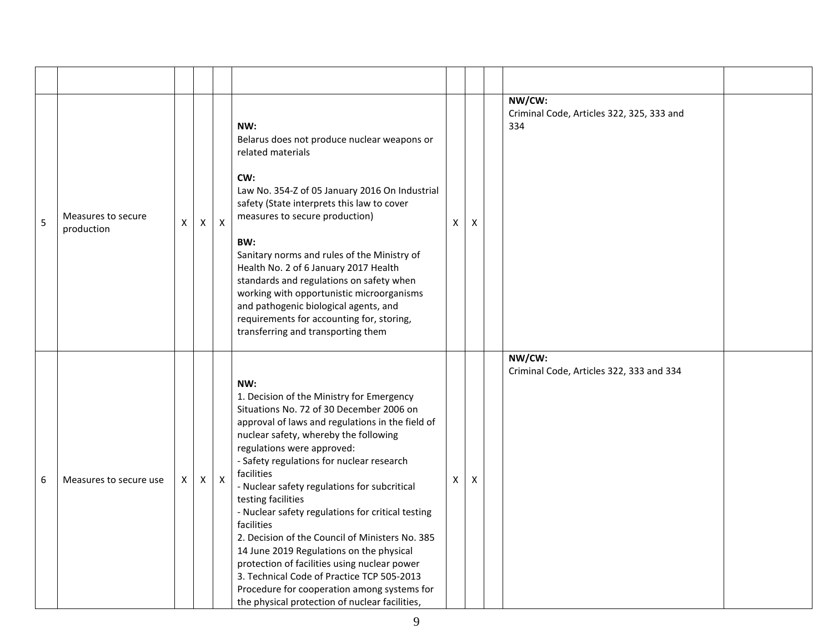| 5 | Measures to secure<br>production | X | $\mathsf{X}$ | $\pmb{\times}$ | NW:<br>Belarus does not produce nuclear weapons or<br>related materials<br>CW:<br>Law No. 354-Z of 05 January 2016 On Industrial<br>safety (State interprets this law to cover<br>measures to secure production)<br>BW:<br>Sanitary norms and rules of the Ministry of<br>Health No. 2 of 6 January 2017 Health<br>standards and regulations on safety when<br>working with opportunistic microorganisms<br>and pathogenic biological agents, and<br>requirements for accounting for, storing,<br>transferring and transporting them                                                                                                                                                                                      | X | X | NW/CW:<br>334 | Criminal Code, Articles 322, 325, 333 and |  |
|---|----------------------------------|---|--------------|----------------|---------------------------------------------------------------------------------------------------------------------------------------------------------------------------------------------------------------------------------------------------------------------------------------------------------------------------------------------------------------------------------------------------------------------------------------------------------------------------------------------------------------------------------------------------------------------------------------------------------------------------------------------------------------------------------------------------------------------------|---|---|---------------|-------------------------------------------|--|
| 6 | Measures to secure use           | X | $\mathsf{X}$ | $\pmb{\times}$ | NW:<br>1. Decision of the Ministry for Emergency<br>Situations No. 72 of 30 December 2006 on<br>approval of laws and regulations in the field of<br>nuclear safety, whereby the following<br>regulations were approved:<br>- Safety regulations for nuclear research<br>facilities<br>- Nuclear safety regulations for subcritical<br>testing facilities<br>- Nuclear safety regulations for critical testing<br>facilities<br>2. Decision of the Council of Ministers No. 385<br>14 June 2019 Regulations on the physical<br>protection of facilities using nuclear power<br>3. Technical Code of Practice TCP 505-2013<br>Procedure for cooperation among systems for<br>the physical protection of nuclear facilities, | X | X | NW/CW:        | Criminal Code, Articles 322, 333 and 334  |  |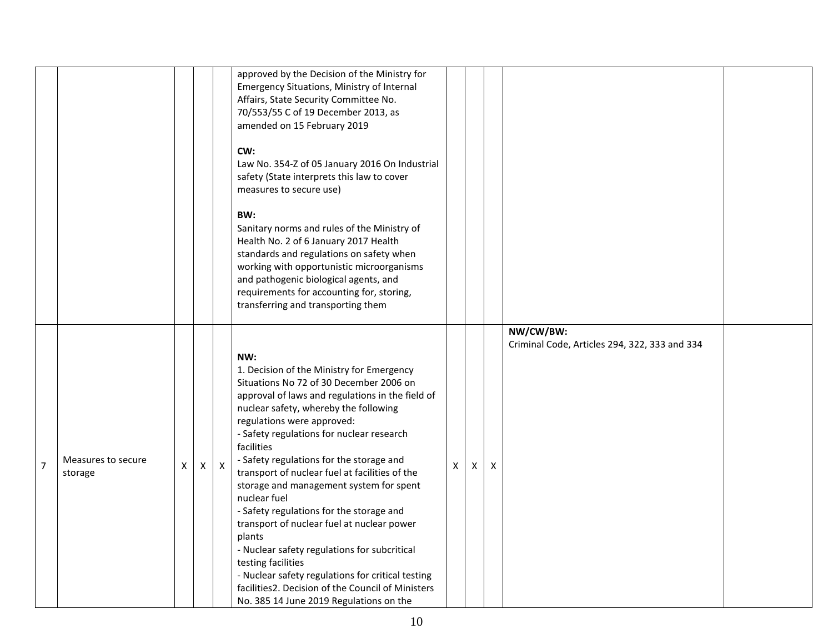|                |                               |   |   |                  | approved by the Decision of the Ministry for<br>Emergency Situations, Ministry of Internal<br>Affairs, State Security Committee No.<br>70/553/55 C of 19 December 2013, as<br>amended on 15 February 2019<br>CW:<br>Law No. 354-Z of 05 January 2016 On Industrial<br>safety (State interprets this law to cover<br>measures to secure use)<br>BW:<br>Sanitary norms and rules of the Ministry of<br>Health No. 2 of 6 January 2017 Health<br>standards and regulations on safety when<br>working with opportunistic microorganisms<br>and pathogenic biological agents, and<br>requirements for accounting for, storing,<br>transferring and transporting them                                                                                                           |              |   |                           |                                                            |  |
|----------------|-------------------------------|---|---|------------------|---------------------------------------------------------------------------------------------------------------------------------------------------------------------------------------------------------------------------------------------------------------------------------------------------------------------------------------------------------------------------------------------------------------------------------------------------------------------------------------------------------------------------------------------------------------------------------------------------------------------------------------------------------------------------------------------------------------------------------------------------------------------------|--------------|---|---------------------------|------------------------------------------------------------|--|
| $\overline{7}$ | Measures to secure<br>storage | X | X | $\boldsymbol{X}$ | NW:<br>1. Decision of the Ministry for Emergency<br>Situations No 72 of 30 December 2006 on<br>approval of laws and regulations in the field of<br>nuclear safety, whereby the following<br>regulations were approved:<br>- Safety regulations for nuclear research<br>facilities<br>- Safety regulations for the storage and<br>transport of nuclear fuel at facilities of the<br>storage and management system for spent<br>nuclear fuel<br>- Safety regulations for the storage and<br>transport of nuclear fuel at nuclear power<br>plants<br>- Nuclear safety regulations for subcritical<br>testing facilities<br>- Nuclear safety regulations for critical testing<br>facilities2. Decision of the Council of Ministers<br>No. 385 14 June 2019 Regulations on the | $\mathsf{X}$ | X | $\boldsymbol{\mathsf{X}}$ | NW/CW/BW:<br>Criminal Code, Articles 294, 322, 333 and 334 |  |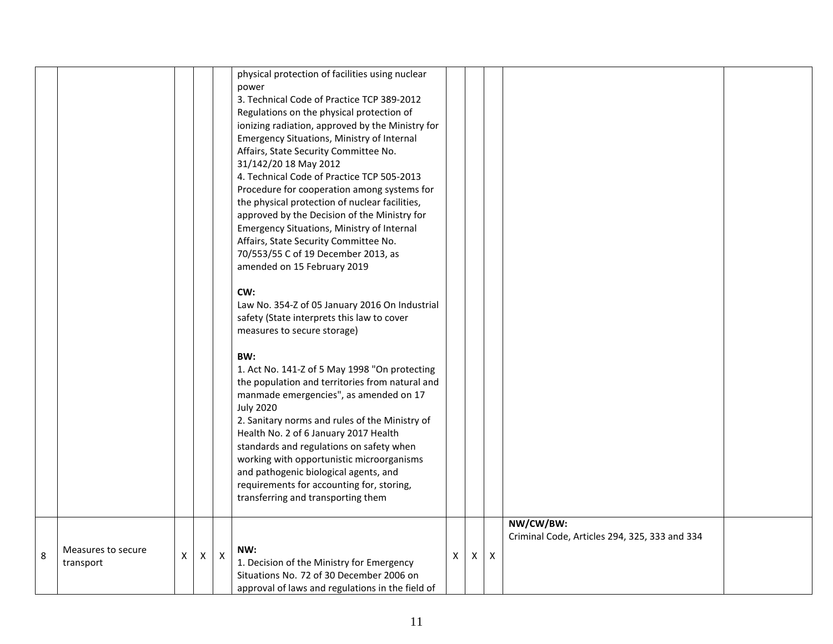|   |                                 |                    |              |                | physical protection of facilities using nuclear<br>power<br>3. Technical Code of Practice TCP 389-2012<br>Regulations on the physical protection of<br>ionizing radiation, approved by the Ministry for<br>Emergency Situations, Ministry of Internal<br>Affairs, State Security Committee No.<br>31/142/20 18 May 2012<br>4. Technical Code of Practice TCP 505-2013<br>Procedure for cooperation among systems for<br>the physical protection of nuclear facilities,<br>approved by the Decision of the Ministry for<br>Emergency Situations, Ministry of Internal<br>Affairs, State Security Committee No.<br>70/553/55 C of 19 December 2013, as<br>amended on 15 February 2019<br>CW:<br>Law No. 354-Z of 05 January 2016 On Industrial<br>safety (State interprets this law to cover<br>measures to secure storage)<br>BW:<br>1. Act No. 141-Z of 5 May 1998 "On protecting<br>the population and territories from natural and<br>manmade emergencies", as amended on 17<br><b>July 2020</b><br>2. Sanitary norms and rules of the Ministry of<br>Health No. 2 of 6 January 2017 Health<br>standards and regulations on safety when<br>working with opportunistic microorganisms<br>and pathogenic biological agents, and<br>requirements for accounting for, storing, |   |   |   |                                                            |  |
|---|---------------------------------|--------------------|--------------|----------------|------------------------------------------------------------------------------------------------------------------------------------------------------------------------------------------------------------------------------------------------------------------------------------------------------------------------------------------------------------------------------------------------------------------------------------------------------------------------------------------------------------------------------------------------------------------------------------------------------------------------------------------------------------------------------------------------------------------------------------------------------------------------------------------------------------------------------------------------------------------------------------------------------------------------------------------------------------------------------------------------------------------------------------------------------------------------------------------------------------------------------------------------------------------------------------------------------------------------------------------------------------------------------|---|---|---|------------------------------------------------------------|--|
| 8 | Measures to secure<br>transport | $\pmb{\mathsf{X}}$ | $\mathsf{X}$ | $\pmb{\times}$ | transferring and transporting them<br>NW:<br>1. Decision of the Ministry for Emergency                                                                                                                                                                                                                                                                                                                                                                                                                                                                                                                                                                                                                                                                                                                                                                                                                                                                                                                                                                                                                                                                                                                                                                                       | X | Χ | X | NW/CW/BW:<br>Criminal Code, Articles 294, 325, 333 and 334 |  |
|   |                                 |                    |              |                | Situations No. 72 of 30 December 2006 on<br>approval of laws and regulations in the field of                                                                                                                                                                                                                                                                                                                                                                                                                                                                                                                                                                                                                                                                                                                                                                                                                                                                                                                                                                                                                                                                                                                                                                                 |   |   |   |                                                            |  |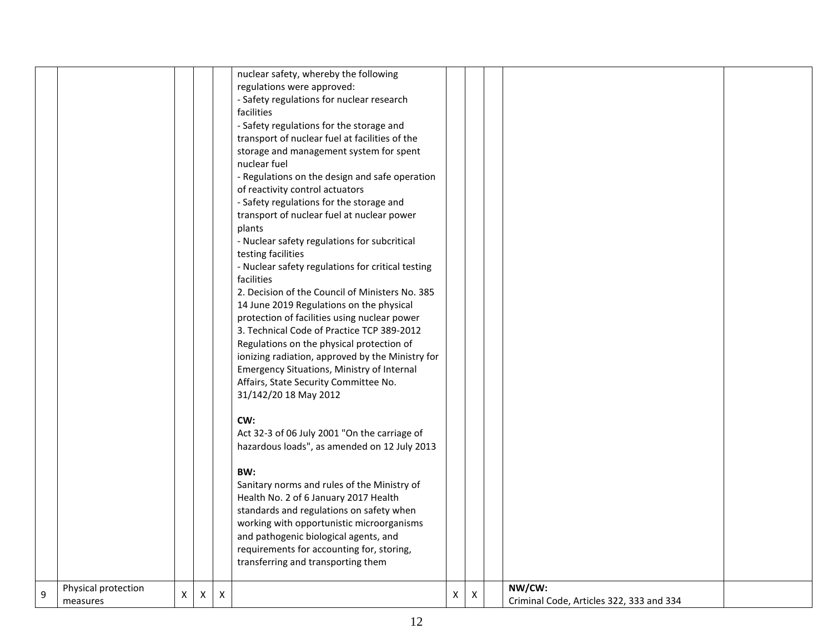|   |                     |                |                |              | nuclear safety, whereby the following             |   |              |                                          |  |
|---|---------------------|----------------|----------------|--------------|---------------------------------------------------|---|--------------|------------------------------------------|--|
|   |                     |                |                |              | regulations were approved:                        |   |              |                                          |  |
|   |                     |                |                |              | - Safety regulations for nuclear research         |   |              |                                          |  |
|   |                     |                |                |              | facilities                                        |   |              |                                          |  |
|   |                     |                |                |              | - Safety regulations for the storage and          |   |              |                                          |  |
|   |                     |                |                |              | transport of nuclear fuel at facilities of the    |   |              |                                          |  |
|   |                     |                |                |              | storage and management system for spent           |   |              |                                          |  |
|   |                     |                |                |              | nuclear fuel                                      |   |              |                                          |  |
|   |                     |                |                |              | - Regulations on the design and safe operation    |   |              |                                          |  |
|   |                     |                |                |              | of reactivity control actuators                   |   |              |                                          |  |
|   |                     |                |                |              | - Safety regulations for the storage and          |   |              |                                          |  |
|   |                     |                |                |              | transport of nuclear fuel at nuclear power        |   |              |                                          |  |
|   |                     |                |                |              | plants                                            |   |              |                                          |  |
|   |                     |                |                |              | - Nuclear safety regulations for subcritical      |   |              |                                          |  |
|   |                     |                |                |              | testing facilities                                |   |              |                                          |  |
|   |                     |                |                |              | - Nuclear safety regulations for critical testing |   |              |                                          |  |
|   |                     |                |                |              | facilities                                        |   |              |                                          |  |
|   |                     |                |                |              | 2. Decision of the Council of Ministers No. 385   |   |              |                                          |  |
|   |                     |                |                |              | 14 June 2019 Regulations on the physical          |   |              |                                          |  |
|   |                     |                |                |              | protection of facilities using nuclear power      |   |              |                                          |  |
|   |                     |                |                |              | 3. Technical Code of Practice TCP 389-2012        |   |              |                                          |  |
|   |                     |                |                |              | Regulations on the physical protection of         |   |              |                                          |  |
|   |                     |                |                |              | ionizing radiation, approved by the Ministry for  |   |              |                                          |  |
|   |                     |                |                |              | Emergency Situations, Ministry of Internal        |   |              |                                          |  |
|   |                     |                |                |              | Affairs, State Security Committee No.             |   |              |                                          |  |
|   |                     |                |                |              | 31/142/20 18 May 2012                             |   |              |                                          |  |
|   |                     |                |                |              |                                                   |   |              |                                          |  |
|   |                     |                |                |              | CW:                                               |   |              |                                          |  |
|   |                     |                |                |              | Act 32-3 of 06 July 2001 "On the carriage of      |   |              |                                          |  |
|   |                     |                |                |              | hazardous loads", as amended on 12 July 2013      |   |              |                                          |  |
|   |                     |                |                |              |                                                   |   |              |                                          |  |
|   |                     |                |                |              | BW:                                               |   |              |                                          |  |
|   |                     |                |                |              | Sanitary norms and rules of the Ministry of       |   |              |                                          |  |
|   |                     |                |                |              | Health No. 2 of 6 January 2017 Health             |   |              |                                          |  |
|   |                     |                |                |              | standards and regulations on safety when          |   |              |                                          |  |
|   |                     |                |                |              | working with opportunistic microorganisms         |   |              |                                          |  |
|   |                     |                |                |              | and pathogenic biological agents, and             |   |              |                                          |  |
|   |                     |                |                |              | requirements for accounting for, storing,         |   |              |                                          |  |
|   |                     |                |                |              | transferring and transporting them                |   |              |                                          |  |
|   |                     |                |                |              |                                                   |   |              |                                          |  |
|   | Physical protection |                |                |              |                                                   |   |              | NW/CW:                                   |  |
| 9 | measures            | $\mathsf{X}^-$ | $\pmb{\times}$ | $\mathsf{X}$ |                                                   | X | $\mathsf{X}$ | Criminal Code, Articles 322, 333 and 334 |  |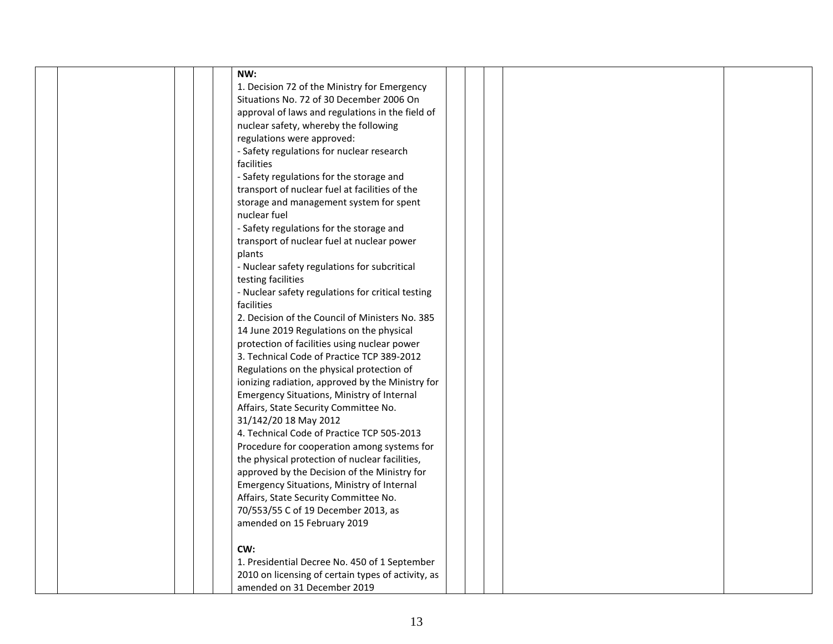|  | NW:                                                |  |  |
|--|----------------------------------------------------|--|--|
|  | 1. Decision 72 of the Ministry for Emergency       |  |  |
|  | Situations No. 72 of 30 December 2006 On           |  |  |
|  | approval of laws and regulations in the field of   |  |  |
|  | nuclear safety, whereby the following              |  |  |
|  | regulations were approved:                         |  |  |
|  | - Safety regulations for nuclear research          |  |  |
|  | facilities                                         |  |  |
|  | - Safety regulations for the storage and           |  |  |
|  | transport of nuclear fuel at facilities of the     |  |  |
|  |                                                    |  |  |
|  | storage and management system for spent            |  |  |
|  | nuclear fuel                                       |  |  |
|  | - Safety regulations for the storage and           |  |  |
|  | transport of nuclear fuel at nuclear power         |  |  |
|  | plants                                             |  |  |
|  | - Nuclear safety regulations for subcritical       |  |  |
|  | testing facilities                                 |  |  |
|  | - Nuclear safety regulations for critical testing  |  |  |
|  | facilities                                         |  |  |
|  | 2. Decision of the Council of Ministers No. 385    |  |  |
|  | 14 June 2019 Regulations on the physical           |  |  |
|  | protection of facilities using nuclear power       |  |  |
|  | 3. Technical Code of Practice TCP 389-2012         |  |  |
|  | Regulations on the physical protection of          |  |  |
|  | ionizing radiation, approved by the Ministry for   |  |  |
|  | Emergency Situations, Ministry of Internal         |  |  |
|  | Affairs, State Security Committee No.              |  |  |
|  | 31/142/20 18 May 2012                              |  |  |
|  | 4. Technical Code of Practice TCP 505-2013         |  |  |
|  | Procedure for cooperation among systems for        |  |  |
|  | the physical protection of nuclear facilities,     |  |  |
|  | approved by the Decision of the Ministry for       |  |  |
|  | Emergency Situations, Ministry of Internal         |  |  |
|  | Affairs, State Security Committee No.              |  |  |
|  | 70/553/55 C of 19 December 2013, as                |  |  |
|  | amended on 15 February 2019                        |  |  |
|  |                                                    |  |  |
|  | CW:                                                |  |  |
|  | 1. Presidential Decree No. 450 of 1 September      |  |  |
|  | 2010 on licensing of certain types of activity, as |  |  |
|  | amended on 31 December 2019                        |  |  |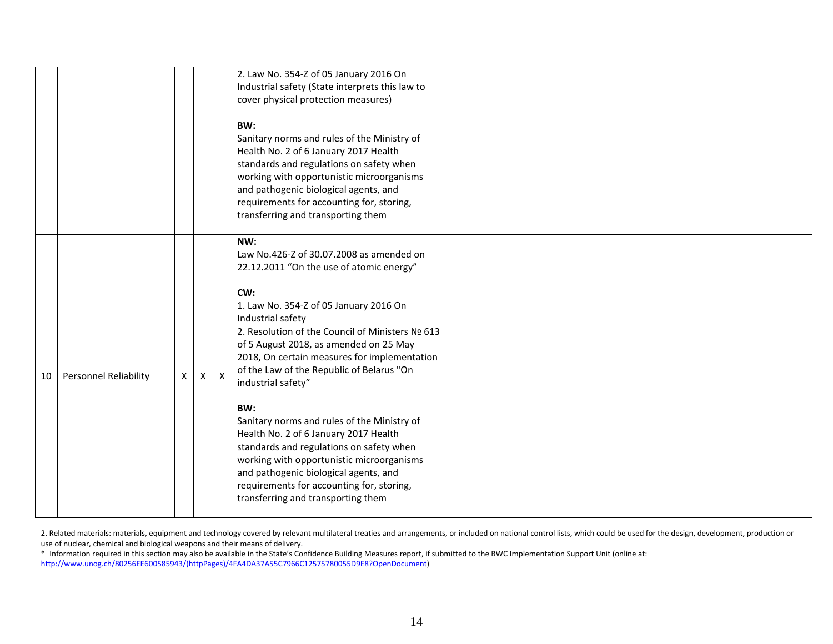|    |                              |   |   |                           | 2. Law No. 354-Z of 05 January 2016 On<br>Industrial safety (State interprets this law to<br>cover physical protection measures)<br>BW:<br>Sanitary norms and rules of the Ministry of<br>Health No. 2 of 6 January 2017 Health<br>standards and regulations on safety when<br>working with opportunistic microorganisms<br>and pathogenic biological agents, and<br>requirements for accounting for, storing,                                                                                                                                                                                                                                                                                                                              |  |  |  |
|----|------------------------------|---|---|---------------------------|---------------------------------------------------------------------------------------------------------------------------------------------------------------------------------------------------------------------------------------------------------------------------------------------------------------------------------------------------------------------------------------------------------------------------------------------------------------------------------------------------------------------------------------------------------------------------------------------------------------------------------------------------------------------------------------------------------------------------------------------|--|--|--|
| 10 | <b>Personnel Reliability</b> | X | X | $\boldsymbol{\mathsf{X}}$ | transferring and transporting them<br>NW:<br>Law No.426-Z of 30.07.2008 as amended on<br>22.12.2011 "On the use of atomic energy"<br>CW:<br>1. Law No. 354-Z of 05 January 2016 On<br>Industrial safety<br>2. Resolution of the Council of Ministers № 613<br>of 5 August 2018, as amended on 25 May<br>2018, On certain measures for implementation<br>of the Law of the Republic of Belarus "On<br>industrial safety"<br>BW:<br>Sanitary norms and rules of the Ministry of<br>Health No. 2 of 6 January 2017 Health<br>standards and regulations on safety when<br>working with opportunistic microorganisms<br>and pathogenic biological agents, and<br>requirements for accounting for, storing,<br>transferring and transporting them |  |  |  |

2. Related materials: materials, equipment and technology covered by relevant multilateral treaties and arrangements, or included on national control lists, which could be used for the design, development, production or use of nuclear, chemical and biological weapons and their means of delivery.

\* Information required in this section may also be available in the State's Confidence Building Measures report, if submitted to the BWC Implementation Support Unit (online at: [http://www.unog.ch/80256EE600585943/\(httpPages\)/4FA4DA37A55C7966C12575780055D9E8?OpenDocument\)](http://www.unog.ch/80256EE600585943/(httpPages)/4FA4DA37A55C7966C12575780055D9E8?OpenDocument)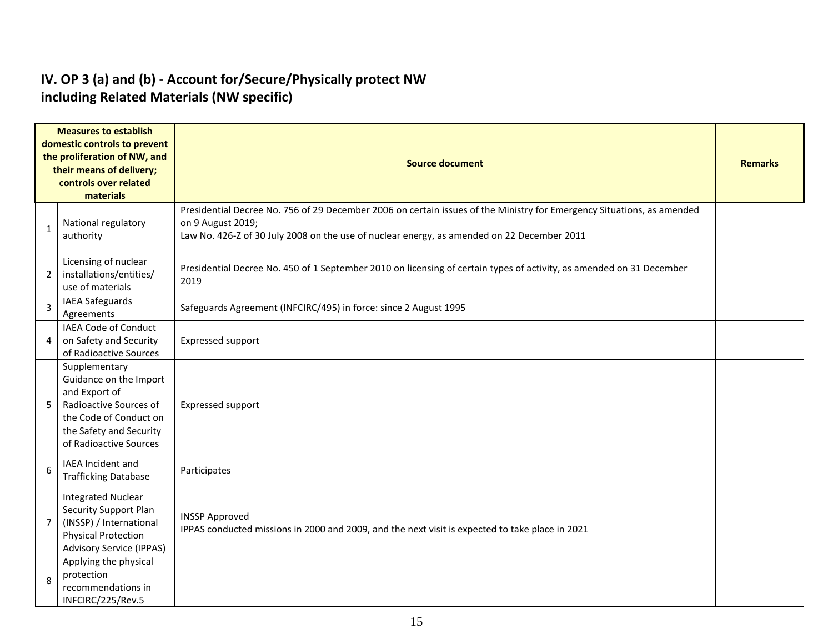#### **IV. OP 3 (a) and (b) - Account for/Secure/Physically protect NW including Related Materials (NW specific)**

| <b>Measures to establish</b><br>domestic controls to prevent<br>the proliferation of NW, and<br>their means of delivery;<br>controls over related<br>materials |                                                                                                                                                                   | <b>Source document</b>                                                                                                                                                                                                                    |  |  |  |  |  |  |
|----------------------------------------------------------------------------------------------------------------------------------------------------------------|-------------------------------------------------------------------------------------------------------------------------------------------------------------------|-------------------------------------------------------------------------------------------------------------------------------------------------------------------------------------------------------------------------------------------|--|--|--|--|--|--|
|                                                                                                                                                                | National regulatory<br>authority                                                                                                                                  | Presidential Decree No. 756 of 29 December 2006 on certain issues of the Ministry for Emergency Situations, as amended<br>on 9 August 2019;<br>Law No. 426-Z of 30 July 2008 on the use of nuclear energy, as amended on 22 December 2011 |  |  |  |  |  |  |
| $\overline{2}$                                                                                                                                                 | Licensing of nuclear<br>installations/entities/<br>use of materials                                                                                               | Presidential Decree No. 450 of 1 September 2010 on licensing of certain types of activity, as amended on 31 December<br>2019                                                                                                              |  |  |  |  |  |  |
| 3                                                                                                                                                              | <b>IAEA Safeguards</b><br>Agreements                                                                                                                              | Safeguards Agreement (INFCIRC/495) in force: since 2 August 1995                                                                                                                                                                          |  |  |  |  |  |  |
| 4                                                                                                                                                              | IAEA Code of Conduct<br>on Safety and Security<br>of Radioactive Sources                                                                                          | Expressed support                                                                                                                                                                                                                         |  |  |  |  |  |  |
| 5                                                                                                                                                              | Supplementary<br>Guidance on the Import<br>and Export of<br>Radioactive Sources of<br>the Code of Conduct on<br>the Safety and Security<br>of Radioactive Sources | Expressed support                                                                                                                                                                                                                         |  |  |  |  |  |  |
| 6                                                                                                                                                              | IAEA Incident and<br><b>Trafficking Database</b>                                                                                                                  | Participates                                                                                                                                                                                                                              |  |  |  |  |  |  |
| 7                                                                                                                                                              | <b>Integrated Nuclear</b><br>Security Support Plan<br>(INSSP) / International<br><b>Physical Protection</b><br><b>Advisory Service (IPPAS)</b>                    | <b>INSSP Approved</b><br>IPPAS conducted missions in 2000 and 2009, and the next visit is expected to take place in 2021                                                                                                                  |  |  |  |  |  |  |
| 8                                                                                                                                                              | Applying the physical<br>protection<br>recommendations in<br>INFCIRC/225/Rev.5                                                                                    |                                                                                                                                                                                                                                           |  |  |  |  |  |  |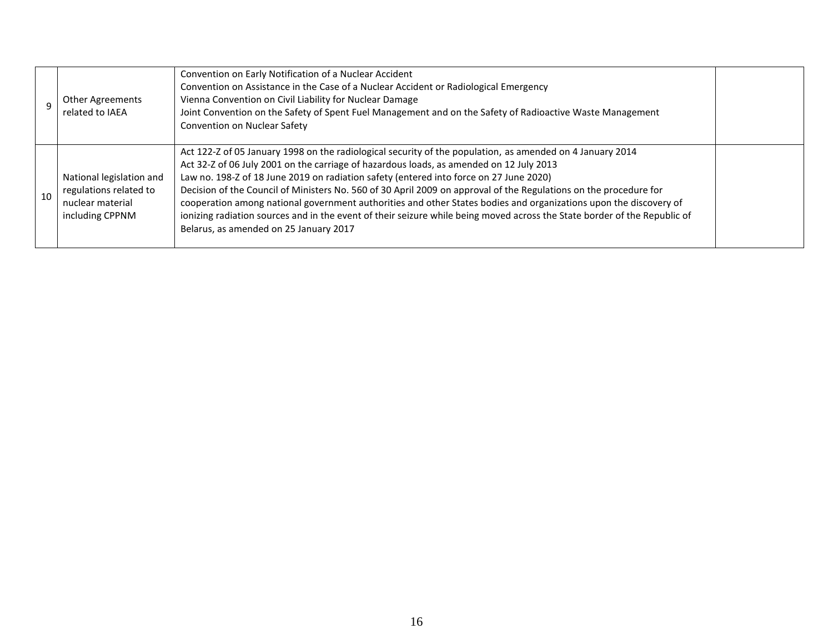|    | <b>Other Agreements</b><br>related to IAEA                                                | Convention on Early Notification of a Nuclear Accident<br>Convention on Assistance in the Case of a Nuclear Accident or Radiological Emergency<br>Vienna Convention on Civil Liability for Nuclear Damage<br>Joint Convention on the Safety of Spent Fuel Management and on the Safety of Radioactive Waste Management<br>Convention on Nuclear Safety                                                                                                                                                                                                                                                                                                                                                          |  |
|----|-------------------------------------------------------------------------------------------|-----------------------------------------------------------------------------------------------------------------------------------------------------------------------------------------------------------------------------------------------------------------------------------------------------------------------------------------------------------------------------------------------------------------------------------------------------------------------------------------------------------------------------------------------------------------------------------------------------------------------------------------------------------------------------------------------------------------|--|
| 10 | National legislation and<br>regulations related to<br>nuclear material<br>including CPPNM | Act 122-Z of 05 January 1998 on the radiological security of the population, as amended on 4 January 2014<br>Act 32-Z of 06 July 2001 on the carriage of hazardous loads, as amended on 12 July 2013<br>Law no. 198-Z of 18 June 2019 on radiation safety (entered into force on 27 June 2020)<br>Decision of the Council of Ministers No. 560 of 30 April 2009 on approval of the Regulations on the procedure for<br>cooperation among national government authorities and other States bodies and organizations upon the discovery of<br>ionizing radiation sources and in the event of their seizure while being moved across the State border of the Republic of<br>Belarus, as amended on 25 January 2017 |  |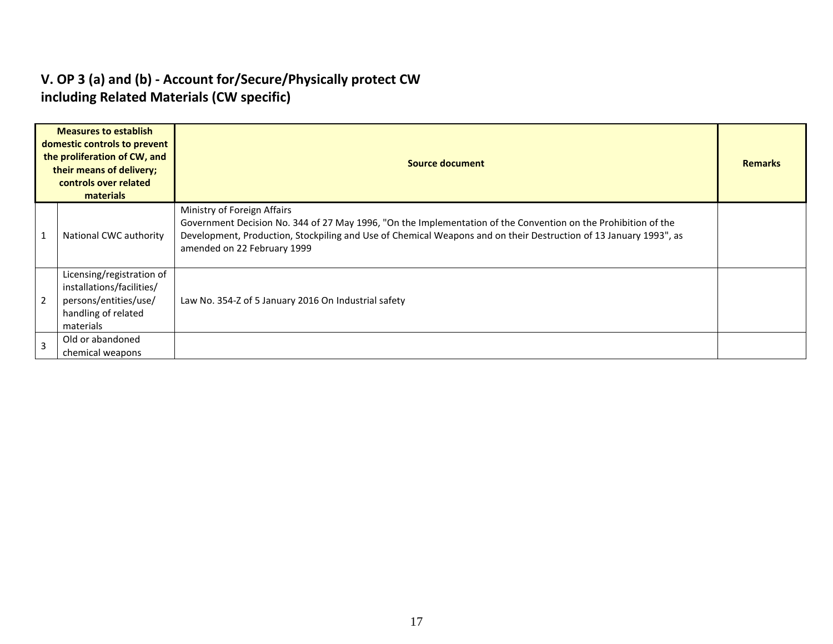#### **V. OP 3 (a) and (b) - Account for/Secure/Physically protect CW including Related Materials (CW specific)**

| <b>Measures to establish</b><br>domestic controls to prevent<br>the proliferation of CW, and<br>their means of delivery;<br>controls over related<br>materials |                                                                                                                     | <b>Source document</b>                                                                                                                                                                                                                                                                            |  |  |  |  |  |  |
|----------------------------------------------------------------------------------------------------------------------------------------------------------------|---------------------------------------------------------------------------------------------------------------------|---------------------------------------------------------------------------------------------------------------------------------------------------------------------------------------------------------------------------------------------------------------------------------------------------|--|--|--|--|--|--|
|                                                                                                                                                                | National CWC authority                                                                                              | Ministry of Foreign Affairs<br>Government Decision No. 344 of 27 May 1996, "On the Implementation of the Convention on the Prohibition of the<br>Development, Production, Stockpiling and Use of Chemical Weapons and on their Destruction of 13 January 1993", as<br>amended on 22 February 1999 |  |  |  |  |  |  |
| $\overline{2}$                                                                                                                                                 | Licensing/registration of<br>installations/facilities/<br>persons/entities/use/<br>handling of related<br>materials | Law No. 354-Z of 5 January 2016 On Industrial safety                                                                                                                                                                                                                                              |  |  |  |  |  |  |
| $\overline{3}$                                                                                                                                                 | Old or abandoned<br>chemical weapons                                                                                |                                                                                                                                                                                                                                                                                                   |  |  |  |  |  |  |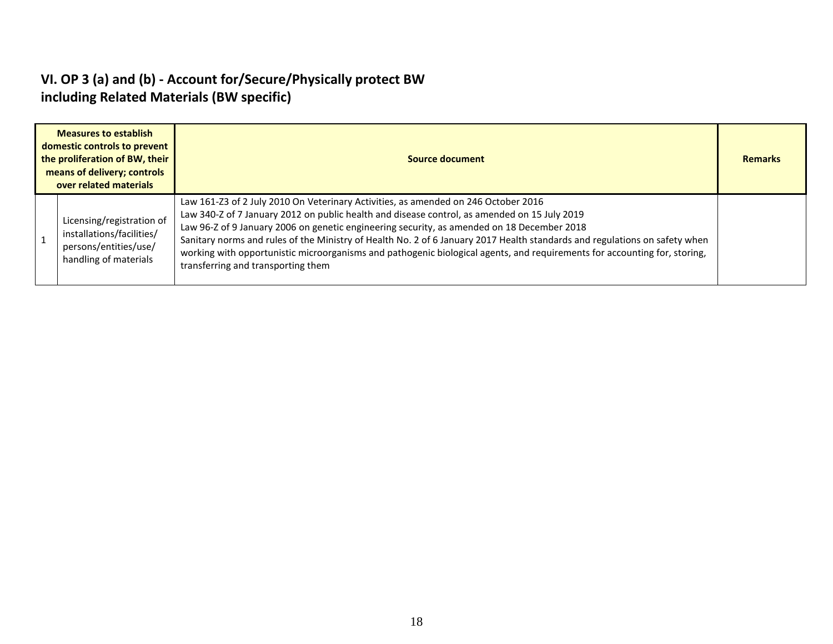#### **VI. OP 3 (a) and (b) - Account for/Secure/Physically protect BW including Related Materials (BW specific)**

| <b>Measures to establish</b><br>domestic controls to prevent<br>the proliferation of BW, their<br>means of delivery; controls<br>over related materials |                                                                                                          | Source document                                                                                                                                                                                                                                                                                                                                                                                                                                                                                                                                                                   |  |  |  |  |  |
|---------------------------------------------------------------------------------------------------------------------------------------------------------|----------------------------------------------------------------------------------------------------------|-----------------------------------------------------------------------------------------------------------------------------------------------------------------------------------------------------------------------------------------------------------------------------------------------------------------------------------------------------------------------------------------------------------------------------------------------------------------------------------------------------------------------------------------------------------------------------------|--|--|--|--|--|
|                                                                                                                                                         | Licensing/registration of<br>installations/facilities/<br>persons/entities/use/<br>handling of materials | Law 161-Z3 of 2 July 2010 On Veterinary Activities, as amended on 246 October 2016<br>Law 340-Z of 7 January 2012 on public health and disease control, as amended on 15 July 2019<br>Law 96-Z of 9 January 2006 on genetic engineering security, as amended on 18 December 2018<br>Sanitary norms and rules of the Ministry of Health No. 2 of 6 January 2017 Health standards and regulations on safety when<br>working with opportunistic microorganisms and pathogenic biological agents, and requirements for accounting for, storing,<br>transferring and transporting them |  |  |  |  |  |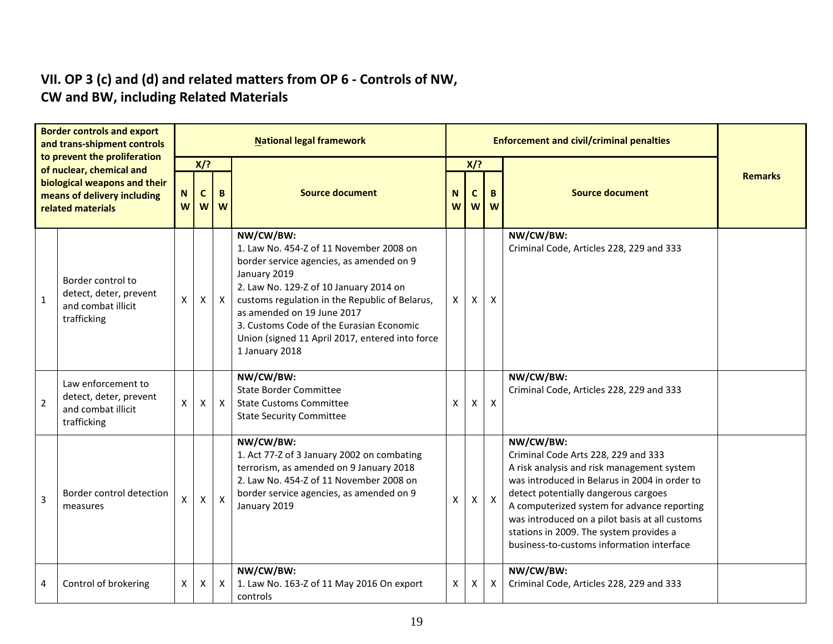#### **VII. OP 3 (c) and (d) and related matters from OP 6 - Controls of NW, CW and BW, including Related Materials**

| <b>Border controls and export</b><br>and trans-shipment controls                 |                                                                                   | <b>National legal framework</b> |                         |              |                                                                                                                                                                                                                                                                                                                                                             |                                  |              |              | <b>Enforcement and civil/criminal penalties</b>                                                                                                                                                                                                                                                                                                                                  |                |  |  |  |
|----------------------------------------------------------------------------------|-----------------------------------------------------------------------------------|---------------------------------|-------------------------|--------------|-------------------------------------------------------------------------------------------------------------------------------------------------------------------------------------------------------------------------------------------------------------------------------------------------------------------------------------------------------------|----------------------------------|--------------|--------------|----------------------------------------------------------------------------------------------------------------------------------------------------------------------------------------------------------------------------------------------------------------------------------------------------------------------------------------------------------------------------------|----------------|--|--|--|
|                                                                                  | to prevent the proliferation<br>of nuclear, chemical and                          |                                 | $X$ ?                   |              |                                                                                                                                                                                                                                                                                                                                                             |                                  | $X$ ?        |              |                                                                                                                                                                                                                                                                                                                                                                                  |                |  |  |  |
| biological weapons and their<br>means of delivery including<br>related materials |                                                                                   | $\mathbf N$<br>W                | $\mathbf c$<br><b>W</b> | B<br>W       | <b>Source document</b>                                                                                                                                                                                                                                                                                                                                      | N <sub>1</sub><br>w <sub>l</sub> | $\mathbf{C}$ | B<br>$W$ $W$ | <b>Source document</b>                                                                                                                                                                                                                                                                                                                                                           | <b>Remarks</b> |  |  |  |
| $\mathbf{1}$                                                                     | Border control to<br>detect, deter, prevent<br>and combat illicit<br>trafficking  | X                               | X                       | X            | NW/CW/BW:<br>1. Law No. 454-Z of 11 November 2008 on<br>border service agencies, as amended on 9<br>January 2019<br>2. Law No. 129-Z of 10 January 2014 on<br>customs regulation in the Republic of Belarus,<br>as amended on 19 June 2017<br>3. Customs Code of the Eurasian Economic<br>Union (signed 11 April 2017, entered into force<br>1 January 2018 | X                                | X            | X            | NW/CW/BW:<br>Criminal Code, Articles 228, 229 and 333                                                                                                                                                                                                                                                                                                                            |                |  |  |  |
| $\overline{2}$                                                                   | Law enforcement to<br>detect, deter, prevent<br>and combat illicit<br>trafficking | $\mathsf{X}$                    | $\mathsf{X}$            | $\mathsf{X}$ | NW/CW/BW:<br><b>State Border Committee</b><br><b>State Customs Committee</b><br><b>State Security Committee</b>                                                                                                                                                                                                                                             | $\mathsf{X}^-$                   | X            | X            | NW/CW/BW:<br>Criminal Code, Articles 228, 229 and 333                                                                                                                                                                                                                                                                                                                            |                |  |  |  |
| 3                                                                                | Border control detection<br>measures                                              | X                               | $\mathsf{X}$            | $\mathsf{X}$ | NW/CW/BW:<br>1. Act 77-Z of 3 January 2002 on combating<br>terrorism, as amended on 9 January 2018<br>2. Law No. 454-Z of 11 November 2008 on<br>border service agencies, as amended on 9<br>January 2019                                                                                                                                                   | X                                | X            | $\mathsf{X}$ | NW/CW/BW:<br>Criminal Code Arts 228, 229 and 333<br>A risk analysis and risk management system<br>was introduced in Belarus in 2004 in order to<br>detect potentially dangerous cargoes<br>A computerized system for advance reporting<br>was introduced on a pilot basis at all customs<br>stations in 2009. The system provides a<br>business-to-customs information interface |                |  |  |  |
| 4                                                                                | Control of brokering                                                              | X                               | X                       | X            | NW/CW/BW:<br>1. Law No. 163-Z of 11 May 2016 On export<br>controls                                                                                                                                                                                                                                                                                          | X                                | Χ            | X            | NW/CW/BW:<br>Criminal Code, Articles 228, 229 and 333                                                                                                                                                                                                                                                                                                                            |                |  |  |  |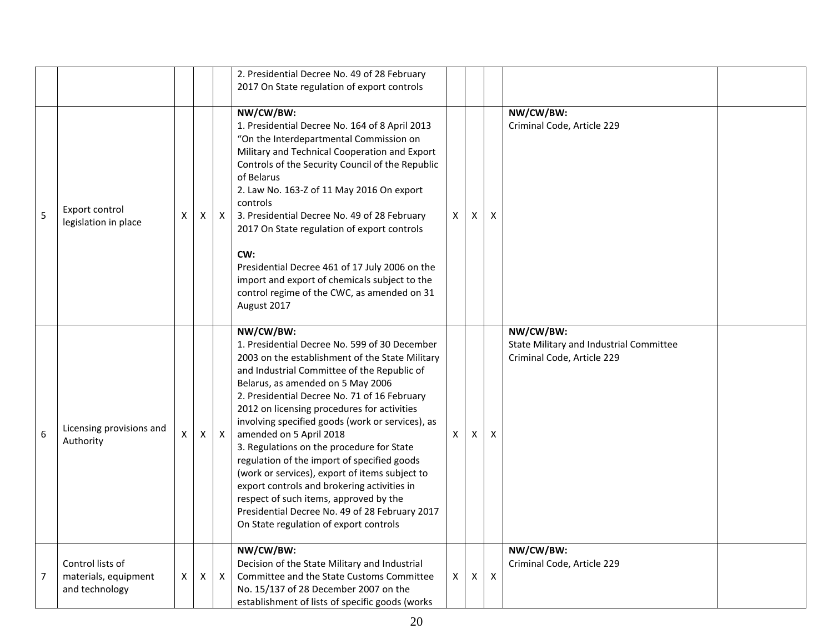|                |                                                            |   |              |              | 2. Presidential Decree No. 49 of 28 February                                                                                                                                                                                                                                                                                                                                                                                                                                                                                                                                                                                                                                                                       |              |   |                           |                                                                                    |  |
|----------------|------------------------------------------------------------|---|--------------|--------------|--------------------------------------------------------------------------------------------------------------------------------------------------------------------------------------------------------------------------------------------------------------------------------------------------------------------------------------------------------------------------------------------------------------------------------------------------------------------------------------------------------------------------------------------------------------------------------------------------------------------------------------------------------------------------------------------------------------------|--------------|---|---------------------------|------------------------------------------------------------------------------------|--|
|                |                                                            |   |              |              | 2017 On State regulation of export controls                                                                                                                                                                                                                                                                                                                                                                                                                                                                                                                                                                                                                                                                        |              |   |                           |                                                                                    |  |
| 5              | Export control<br>legislation in place                     | х | X            | $\mathsf{X}$ | NW/CW/BW:<br>1. Presidential Decree No. 164 of 8 April 2013<br>"On the Interdepartmental Commission on<br>Military and Technical Cooperation and Export<br>Controls of the Security Council of the Republic<br>of Belarus<br>2. Law No. 163-Z of 11 May 2016 On export<br>controls<br>3. Presidential Decree No. 49 of 28 February<br>2017 On State regulation of export controls<br>CW:<br>Presidential Decree 461 of 17 July 2006 on the<br>import and export of chemicals subject to the<br>control regime of the CWC, as amended on 31<br>August 2017                                                                                                                                                          | $\mathsf{X}$ | х | $\times$                  | NW/CW/BW:<br>Criminal Code, Article 229                                            |  |
| 6              | Licensing provisions and<br>Authority                      | X | $\mathsf{X}$ | $\mathsf{X}$ | NW/CW/BW:<br>1. Presidential Decree No. 599 of 30 December<br>2003 on the establishment of the State Military<br>and Industrial Committee of the Republic of<br>Belarus, as amended on 5 May 2006<br>2. Presidential Decree No. 71 of 16 February<br>2012 on licensing procedures for activities<br>involving specified goods (work or services), as<br>amended on 5 April 2018<br>3. Regulations on the procedure for State<br>regulation of the import of specified goods<br>(work or services), export of items subject to<br>export controls and brokering activities in<br>respect of such items, approved by the<br>Presidential Decree No. 49 of 28 February 2017<br>On State regulation of export controls | $\mathsf{x}$ | X | X                         | NW/CW/BW:<br>State Military and Industrial Committee<br>Criminal Code, Article 229 |  |
| $\overline{7}$ | Control lists of<br>materials, equipment<br>and technology | X | X            | X            | NW/CW/BW:<br>Decision of the State Military and Industrial<br>Committee and the State Customs Committee<br>No. 15/137 of 28 December 2007 on the<br>establishment of lists of specific goods (works                                                                                                                                                                                                                                                                                                                                                                                                                                                                                                                | X            | X | $\boldsymbol{\mathsf{X}}$ | NW/CW/BW:<br>Criminal Code, Article 229                                            |  |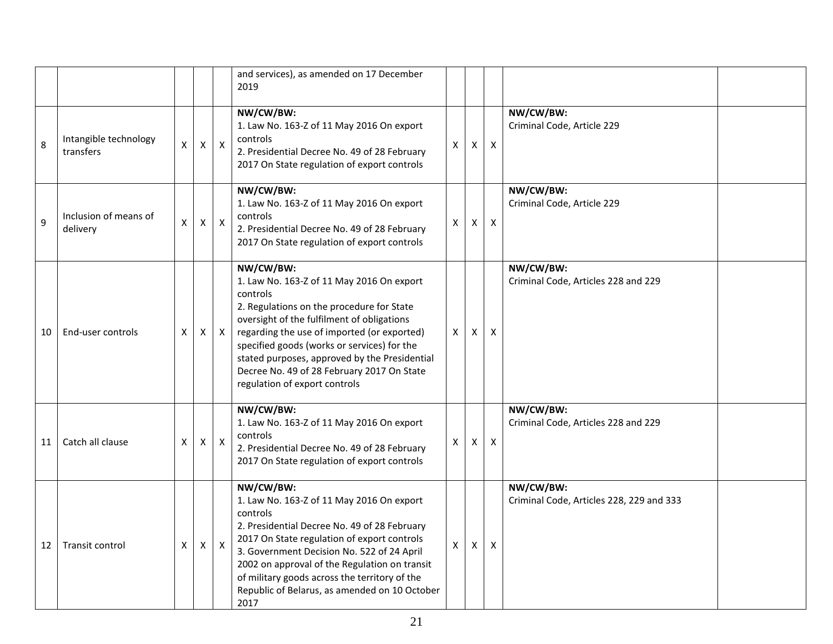|    |                                    |   |                    |                           | and services), as amended on 17 December<br>2019                                                                                                                                                                                                                                                                                                                                            |   |          |                           |                                                       |  |
|----|------------------------------------|---|--------------------|---------------------------|---------------------------------------------------------------------------------------------------------------------------------------------------------------------------------------------------------------------------------------------------------------------------------------------------------------------------------------------------------------------------------------------|---|----------|---------------------------|-------------------------------------------------------|--|
| 8  | Intangible technology<br>transfers | X | X                  | $\boldsymbol{\mathsf{X}}$ | NW/CW/BW:<br>1. Law No. 163-Z of 11 May 2016 On export<br>controls<br>2. Presidential Decree No. 49 of 28 February<br>2017 On State regulation of export controls                                                                                                                                                                                                                           | X | $\times$ | $\mathsf{X}$              | NW/CW/BW:<br>Criminal Code, Article 229               |  |
| 9  | Inclusion of means of<br>delivery  | X | $\pmb{\mathsf{X}}$ | $\boldsymbol{\mathsf{X}}$ | NW/CW/BW:<br>1. Law No. 163-Z of 11 May 2016 On export<br>controls<br>2. Presidential Decree No. 49 of 28 February<br>2017 On State regulation of export controls                                                                                                                                                                                                                           | X | X        | $\mathsf{X}$              | NW/CW/BW:<br>Criminal Code, Article 229               |  |
| 10 | End-user controls                  | X | Χ                  | $\mathsf{X}$              | NW/CW/BW:<br>1. Law No. 163-Z of 11 May 2016 On export<br>controls<br>2. Regulations on the procedure for State<br>oversight of the fulfilment of obligations<br>regarding the use of imported (or exported)<br>specified goods (works or services) for the<br>stated purposes, approved by the Presidential<br>Decree No. 49 of 28 February 2017 On State<br>regulation of export controls | X | Χ        | $\boldsymbol{\mathsf{X}}$ | NW/CW/BW:<br>Criminal Code, Articles 228 and 229      |  |
| 11 | Catch all clause                   | X | X                  | $\mathsf{X}$              | NW/CW/BW:<br>1. Law No. 163-Z of 11 May 2016 On export<br>controls<br>2. Presidential Decree No. 49 of 28 February<br>2017 On State regulation of export controls                                                                                                                                                                                                                           | X | X        | $\mathsf{X}$              | NW/CW/BW:<br>Criminal Code, Articles 228 and 229      |  |
| 12 | Transit control                    | X | X                  | $\mathsf{X}$              | NW/CW/BW:<br>1. Law No. 163-Z of 11 May 2016 On export<br>controls<br>2. Presidential Decree No. 49 of 28 February<br>2017 On State regulation of export controls<br>3. Government Decision No. 522 of 24 April<br>2002 on approval of the Regulation on transit<br>of military goods across the territory of the<br>Republic of Belarus, as amended on 10 October<br>2017                  | X | X        | X                         | NW/CW/BW:<br>Criminal Code, Articles 228, 229 and 333 |  |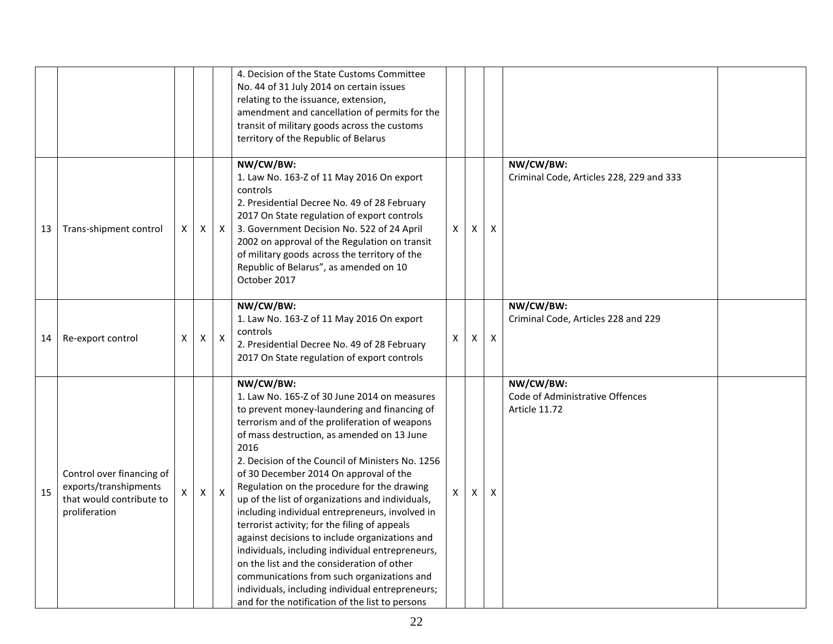|    |                                                                                                 |   |                |                           | 4. Decision of the State Customs Committee<br>No. 44 of 31 July 2014 on certain issues<br>relating to the issuance, extension,<br>amendment and cancellation of permits for the<br>transit of military goods across the customs<br>territory of the Republic of Belarus                                                                                                                                                                                                                                                                                                                                                                                                                                                                                                                                                        |              |   |                           |                                                               |  |
|----|-------------------------------------------------------------------------------------------------|---|----------------|---------------------------|--------------------------------------------------------------------------------------------------------------------------------------------------------------------------------------------------------------------------------------------------------------------------------------------------------------------------------------------------------------------------------------------------------------------------------------------------------------------------------------------------------------------------------------------------------------------------------------------------------------------------------------------------------------------------------------------------------------------------------------------------------------------------------------------------------------------------------|--------------|---|---------------------------|---------------------------------------------------------------|--|
| 13 | Trans-shipment control                                                                          | X | X              | $\mathsf{X}$              | NW/CW/BW:<br>1. Law No. 163-Z of 11 May 2016 On export<br>controls<br>2. Presidential Decree No. 49 of 28 February<br>2017 On State regulation of export controls<br>3. Government Decision No. 522 of 24 April<br>2002 on approval of the Regulation on transit<br>of military goods across the territory of the<br>Republic of Belarus", as amended on 10<br>October 2017                                                                                                                                                                                                                                                                                                                                                                                                                                                    | $\mathsf{x}$ | X | $\boldsymbol{\mathsf{x}}$ | NW/CW/BW:<br>Criminal Code, Articles 228, 229 and 333         |  |
| 14 | Re-export control                                                                               | X | $\mathsf X$    | $\boldsymbol{\mathsf{X}}$ | NW/CW/BW:<br>1. Law No. 163-Z of 11 May 2016 On export<br>controls<br>2. Presidential Decree No. 49 of 28 February<br>2017 On State regulation of export controls                                                                                                                                                                                                                                                                                                                                                                                                                                                                                                                                                                                                                                                              | X            | X | X                         | NW/CW/BW:<br>Criminal Code, Articles 228 and 229              |  |
| 15 | Control over financing of<br>exports/transhipments<br>that would contribute to<br>proliferation | X | $\pmb{\times}$ | $\mathsf{X}$              | NW/CW/BW:<br>1. Law No. 165-Z of 30 June 2014 on measures<br>to prevent money-laundering and financing of<br>terrorism and of the proliferation of weapons<br>of mass destruction, as amended on 13 June<br>2016<br>2. Decision of the Council of Ministers No. 1256<br>of 30 December 2014 On approval of the<br>Regulation on the procedure for the drawing<br>up of the list of organizations and individuals,<br>including individual entrepreneurs, involved in<br>terrorist activity; for the filing of appeals<br>against decisions to include organizations and<br>individuals, including individual entrepreneurs,<br>on the list and the consideration of other<br>communications from such organizations and<br>individuals, including individual entrepreneurs;<br>and for the notification of the list to persons | X            | X | $\boldsymbol{\mathsf{X}}$ | NW/CW/BW:<br>Code of Administrative Offences<br>Article 11.72 |  |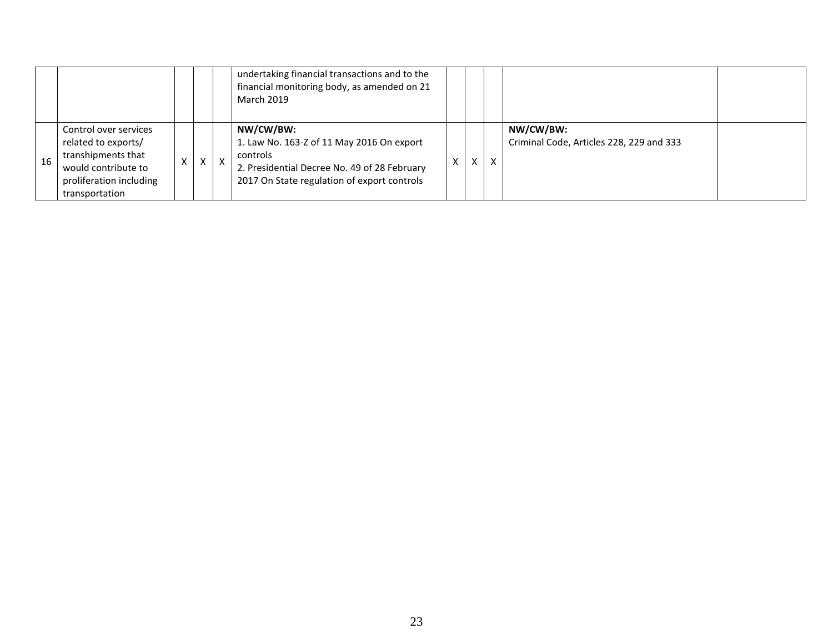|    |                                                                                                                                        |   |   |              | undertaking financial transactions and to the<br>financial monitoring body, as amended on 21<br><b>March 2019</b>                                                 |  |   |                                                       |  |
|----|----------------------------------------------------------------------------------------------------------------------------------------|---|---|--------------|-------------------------------------------------------------------------------------------------------------------------------------------------------------------|--|---|-------------------------------------------------------|--|
| 16 | Control over services<br>related to exports/<br>transhipments that<br>would contribute to<br>proliferation including<br>transportation | X | X | $\mathsf{x}$ | NW/CW/BW:<br>1. Law No. 163-Z of 11 May 2016 On export<br>controls<br>2. Presidential Decree No. 49 of 28 February<br>2017 On State regulation of export controls |  | X | NW/CW/BW:<br>Criminal Code, Articles 228, 229 and 333 |  |